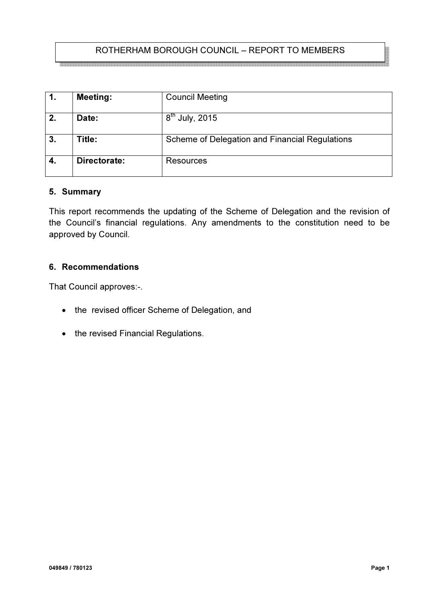# ROTHERHAM BOROUGH COUNCIL – REPORT TO MEMBERS

| 1. | <b>Meeting:</b> | <b>Council Meeting</b>                         |
|----|-----------------|------------------------------------------------|
| 2. | Date:           | $8th$ July, 2015                               |
| 3. | Title:          | Scheme of Delegation and Financial Regulations |
| 4. | Directorate:    | Resources                                      |

#### 5. Summary

This report recommends the updating of the Scheme of Delegation and the revision of the Council's financial regulations. Any amendments to the constitution need to be approved by Council.

#### 6. Recommendations

That Council approves:-.

- the revised officer Scheme of Delegation, and
- the revised Financial Regulations.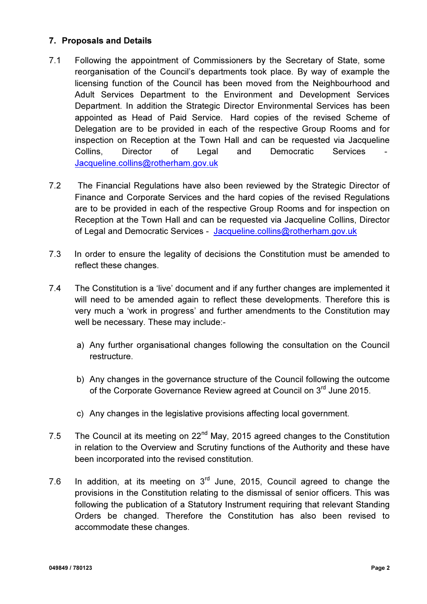## 7. Proposals and Details

- 7.1 Following the appointment of Commissioners by the Secretary of State, some reorganisation of the Council's departments took place. By way of example the licensing function of the Council has been moved from the Neighbourhood and Adult Services Department to the Environment and Development Services Department. In addition the Strategic Director Environmental Services has been appointed as Head of Paid Service. Hard copies of the revised Scheme of Delegation are to be provided in each of the respective Group Rooms and for inspection on Reception at the Town Hall and can be requested via Jacqueline Collins, Director of Legal and Democratic Services Jacqueline.collins@rotherham.gov.uk
- 7.2 The Financial Regulations have also been reviewed by the Strategic Director of Finance and Corporate Services and the hard copies of the revised Regulations are to be provided in each of the respective Group Rooms and for inspection on Reception at the Town Hall and can be requested via Jacqueline Collins, Director of Legal and Democratic Services - Jacqueline.collins@rotherham.gov.uk
- 7.3 In order to ensure the legality of decisions the Constitution must be amended to reflect these changes.
- 7.4 The Constitution is a 'live' document and if any further changes are implemented it will need to be amended again to reflect these developments. Therefore this is very much a 'work in progress' and further amendments to the Constitution may well be necessary. These may include:
	- a) Any further organisational changes following the consultation on the Council restructure.
	- b) Any changes in the governance structure of the Council following the outcome of the Corporate Governance Review agreed at Council on 3<sup>rd</sup> June 2015.
	- c) Any changes in the legislative provisions affecting local government.
- 7.5 The Council at its meeting on  $22^{nd}$  May, 2015 agreed changes to the Constitution in relation to the Overview and Scrutiny functions of the Authority and these have been incorporated into the revised constitution.
- 7.6 In addition, at its meeting on  $3<sup>rd</sup>$  June, 2015, Council agreed to change the provisions in the Constitution relating to the dismissal of senior officers. This was following the publication of a Statutory Instrument requiring that relevant Standing Orders be changed. Therefore the Constitution has also been revised to accommodate these changes.